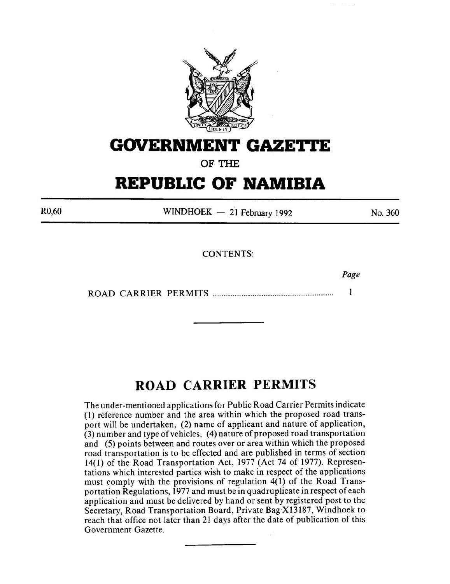

# **GOVERNMENT GAZE'ri'E**

OF THE

# **REPUBLIC OF NAMIBIA**

R0,60

 $WINDHOEK - 21$  February 1992

No. 360

*Page* 

CONTENTS:

ROAD CARRIER PERMITS ................................................................. .  $\mathbf{1}$ 

# **ROAD CARRIER PERMITS**

The under-mentioned applications for Public Road Carrier Permits indicate (I) reference number and the area within which the proposed road transport will be undertaken, (2) name of applicant and nature of application, (3) number and type of vehicles, ( 4) nature of proposed road transportation and (5) points between and routes over or area within which the proposed road transportation is to be effected and are published in terms of section 14(1) of the Road Transportation Act, 1977 (Act 74 of 1977). Representations which interested parties wish to make in respect of the applications must comply with the provisions of regulation  $4(1)$  of the Road Transportation Regulations, 1977 and must be in quadruplicate in respect of each application and must be delivered by hand or sent by registered post to the Secretary, Road Transportation Board, Private Bag X13187, Windhoek to reach that office not later than 21 days after the date of publication of this Government Gazette.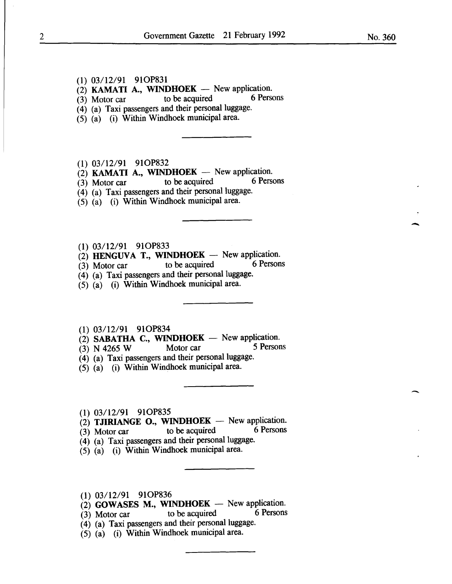No. 360

-

-

(1) 03/12/91 910P831

 $\begin{array}{lll} (2) & \textbf{KAMATI} & \textbf{A} \\ (3) & \textbf{Motor car} \\ (4) & \textbf{Motor car} \end{array}$  to be acquired 6 Persons

 $(3)$  Motor car to be acquired

 $(4)$  (a) Taxi passengers and their personal luggage.

(5) (a) (i) Within Windhoek municipal area.

(1) 03/12/91 910P832

(2) **KAMATI A., WINDHOEK** - New application.<br>(3) Motor car to be acquired 6 Persons

(3) Motor car to be acquired 6 Persons

(4) (a) Taxi passengers and their personal luggage.

 $(5)$   $(a)$   $(i)$  Within Windhoek municipal area.

- (1) 03/12/91 910P833
- (2) HENGUVA T., WINDHOEK New application.<br>(3) Motor car to be acquired 6 Persons

 $(3)$  Motor car to be acquired

(4) (a) Taxi passengers and their personal luggage.

(5) (a) (i) Within Windhoek municipal area.

(1) 03/12/91 910P834

(2) SABATHA C., WINDHOEK - New application.<br>
(3) N 4265 W Motor car 5 Persons

(3) N 4265 W Motor car

- (4) (a) Taxi passengers and their personal luggage.
- $(5)$   $(a)$  (i) Within Windhoek municipal area.

(1) 03/12/91 910P835

(2) TJIRIANGE O., WINDHOEK - New application.<br>(3) Motor car to be acquired 6 Persons

 $(3)$  Motor car to be acquired

 $(4)$  (a) Taxi passengers and their personal luggage.

 $(5)$   $(a)$  (i) Within Windhoek municipal area.

(1) 03112/91 910P836

(2) GOWASES M., WINDHOEK  $-$  New application.<br>(3) Motor car to be acquired 6 Persons

 $(3)$  Motor car to be acquired

(4) (a) Taxi passengers and their personal luggage.

(5) (a) (i) Within Windhoek municipal area.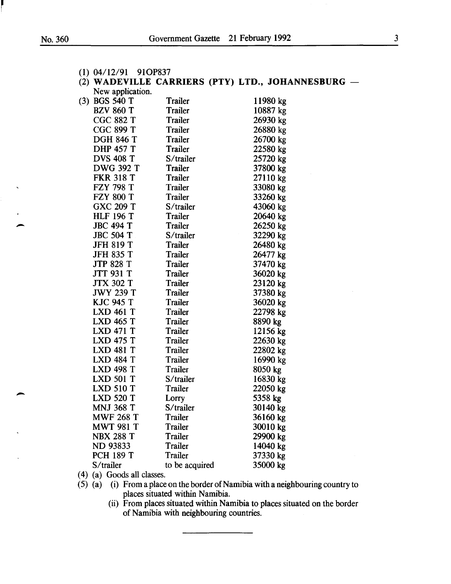| $(1)$ 04/12/91 91OP837 |                |                                                   |
|------------------------|----------------|---------------------------------------------------|
|                        |                | (2) WADEVILLE CARRIERS (PTY) LTD., JOHANNESBURG - |
| New application.       |                |                                                   |
| $(3)$ BGS 540 T        | Trailer        | 11980 kg                                          |
| <b>BZV 860 T</b>       | Trailer        | 10887 kg                                          |
| <b>CGC 882 T</b>       | Trailer        | 26930 kg                                          |
| <b>CGC 899 T</b>       | Trailer        | 26880 kg                                          |
| <b>DGH 846 T</b>       | Trailer        | 26700 kg                                          |
| <b>DHP 457 T</b>       | Trailer        | 22580 kg                                          |
| <b>DVS 408 T</b>       | S/trailer      | 25720 kg                                          |
| <b>DWG 392 T</b>       | <b>Trailer</b> | 37800 kg                                          |
| <b>FKR 318 T</b>       | Trailer        | 27110 kg                                          |
| <b>FZY 798 T</b>       | Trailer        | 33080 kg                                          |
| <b>FZY 800 T</b>       | Trailer        | 33260 kg                                          |
| <b>GXC 209 T</b>       | S/trailer      | 43060 kg                                          |
| <b>HLF 196 T</b>       | Trailer        | 20640 kg                                          |
| <b>JBC 494 T</b>       | Trailer        | 26250 kg                                          |
| <b>JBC 504 T</b>       | S/trailer      | 32290 kg                                          |
| <b>JFH 819 T</b>       | Trailer        | 26480 kg                                          |
| <b>JFH 835 T</b>       | Trailer        | 26477 kg                                          |
| <b>JTP 828 T</b>       | Trailer        | 37470 kg                                          |
| JTT 931 T              | Trailer        | 36020 kg                                          |
| <b>JTX 302 T</b>       | Trailer        | 23120 kg                                          |
| <b>JWY 239 T</b>       | Trailer        | 37380 kg                                          |
| <b>KJC 945 T</b>       | Trailer        | 36020 kg                                          |
| <b>LXD 461 T</b>       | Trailer        | 22798 kg                                          |
| <b>LXD 465 T</b>       | Trailer        | 8890 kg                                           |
| <b>LXD 471 T</b>       | <b>Trailer</b> | 12156 kg                                          |
| <b>LXD 475 T</b>       | Trailer        | 22630 kg                                          |
| <b>LXD 481 T</b>       | <b>Trailer</b> | 22802 kg                                          |
| <b>LXD 484 T</b>       | Trailer        | 16990 kg                                          |
| <b>LXD 498 T</b>       | Trailer        | 8050 kg                                           |
| <b>LXD 501 T</b>       | S/trailer      | 16830 kg                                          |
| <b>LXD 510 T</b>       | <b>Trailer</b> | 22050 kg                                          |
| <b>LXD 520 T</b>       | Lorry          | 5358 kg                                           |
| <b>MNJ 368 T</b>       | S/trailer      | 30140 kg                                          |
| <b>MWF 268 T</b>       | Trailer        | 36160 kg                                          |
| <b>MWT 981 T</b>       | Trailer        | 30010 kg                                          |
| <b>NBX 288 T</b>       | <b>Trailer</b> | 29900 kg                                          |
| <b>ND 93833</b>        | <b>Trailer</b> | 14040 kg                                          |
| <b>PCH 189 T</b>       | Trailer        | 37330 kg                                          |
| S/trailer              | to be acquired | 35000 kg                                          |
|                        |                |                                                   |

( 4) (a) Goods all classes.

(5) (a) (i) From a place on the border of Namibia with a neighbouring country to places situated within Namibia.

> (ii) From places situated within Namibia to places situated on the border of Namibia with neighbouring countries.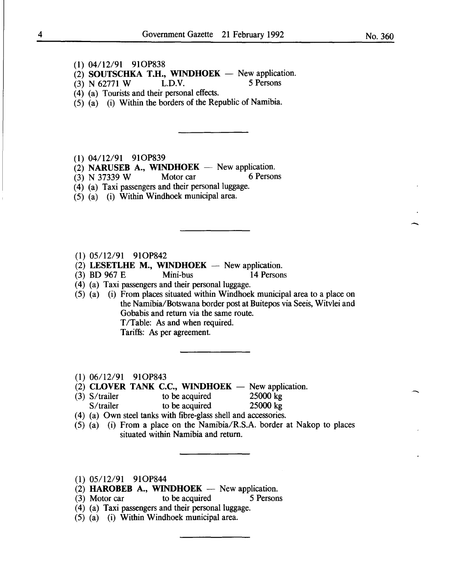$\frac{1}{\sqrt{2}}$ 

-

- (1) 04/12/91 910P838
- (2) SOUTSCHKA T.H., WINDHOEK New application.<br>(3) N 62771 W L.D.V. 5 Persons
- $(3)$  N 62771 W.
- (4) (a) Tourists and their personal effects.
- $(5)$   $(a)$  (i) Within the borders of the Republic of Namibia.
- (1) 04112/91 910P839
- (2) **NARUSEB A., WINDHOEK** New application.<br>(3) N 37339 W Motor car 6 Persons
- $(3)$  N 37339 W
- (4) (a) Taxi passengers and their personal luggage.
- (5) (a) (i) Within Windhoek municipal area.

(1) 05/12/91 91OP842

- (2) LESETLHE M., WINDHOEK  $-$  New application.
- (3) BD 967 E Mini-bus 14 Persons
- (4) (a) Taxi passengers and their personal luggage.
- $(5)$   $(a)$  (i) From places situated within Windhoek municipal area to a place on the Namibia/Botswana border post at Buitepos via Seeis, Witvlei and Gobabis and return via the same route. T/Table: As and when required. Tariffs: As per agreement.
- (1) 06/12/91 910P843
- $(2)$  CLOVER TANK C.C., WINDHOEK  $-$  New application.
- (3) S/trailer to be acquired  $25000 \text{ kg}$ <br>S/trailer to be acquired  $25000 \text{ kg}$  $S/$ trailer to be acquired
- ( 4) (a) Own steel tanks with fibre-glass shell and accessories.
- (5) (a) (i) From a place on the Namibia/R.S.A. border at Nakop to places situated within Namibia and return.
- (1) 05/12/91 910P844
- (2) HAROBEB A., WINDHOEK  $-$  New application.
- (3) Motor car to be acquired 5 Persons
- (4) (a) Taxi passengers and their personal luggage.
- (5) (a) (i) Within Windhoek municipal area.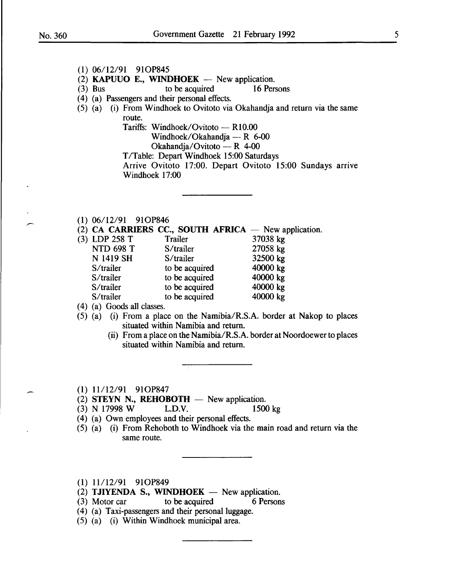- (2) **KAPUUO E., WINDHOEK** New application.<br>(3) Bus to be acquired 16 Persons to be acquired ( 4) (a) Passengers and their personal effects.  $(5)$   $(a)$   $(i)$  From Windhoek to Ovitoto via Okahandja and return via the same route. Tariffs: Windhoek/Ovitoto - R10.00 Windhoek/Okahandja — R 6-00 Okahandja/Ovitoto - R 4-00 T/Table: Depart Windhoek 15:00 Saturdays Arrive Ovitoto 17:00. Depart Ovitoto 15:00 Sundays arrive Windhoek 17:00 (1) 06/12/91 910P846 (2) CA CARRIERS CC., SOUTH AFRICA  $-$  New application. NTD 698 T S/trailer 27058 kg N 1419 SH S/trailer 32500 kg S/trailer to be acquired 40000 kg
- 

(1) 06/12/91 910P845

| $(3)$ LDP 258 T  | Trailer        | 37038 kg |
|------------------|----------------|----------|
| <b>NTD 698 T</b> | S/trailer      | 27058 kg |
| N 1419 SH        | S/trailer      | 32500 kg |
| S/trailer        | to be acquired | 40000 kg |
| S/trailer        | to be acquired | 40000 kg |
| S/trailer        | to be acquired | 40000 kg |
| S/trailer        | to be acquired | 40000 kg |
|                  |                |          |

( 4) (a) Goods all classes.

- (5) (a) (i) From a place on the Namibia/R.S.A. border at Nakop to places situated within Namibia and return.
	- (ii) From a place on the Namibia/R.S.A. border at Noordoewer to places situated within Namibia and return.
- (1) 11112/91 910P847
- (2) STEYN N., REHOBOTH  $-$  New application.<br>(3) N 17998 W L.D.V. 1500 kg
- $(3)$  N 17998 W.
- (4) (a) Own employees and their personal effects.
- (5) (a) (i) From Rehoboth to Windhoek via the main road and return via the same route.
- (1) 11/12/91 910P849
- (2) TJIYENDA S., WINDHOEK  $-$  New application.
- (3) Motor car to be acquired 6 Persons
- (4) (a) Taxi-passengers and their personal luggage.
- (5) (a) (i) Within Windhoek municipal area.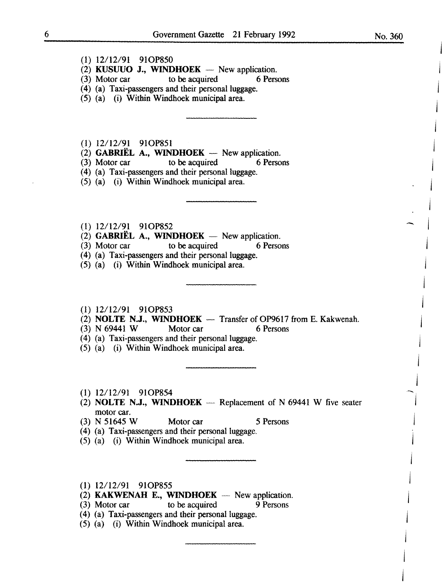$\hat{\phantom{a}}$ 

j

j

j

j

j

~j

j

j

j

j

j

j

j

- $(1)$  12/12/91 91OP850
- (2) KUSUUO J., WINDHOEK  $-$  New application.
- (3) Motor car to be acquired 6 Persons
- (4) (a) Taxi-passengers and their personal luggage.
- (5) (a) (i) Within Windhoek municipal area.
- (1) 12/12/91 91OP851
- $(2)$  GABRIEL A., WINDHOEK New application.
- (3) Motor car to be acquired 6 Persons
- (4) (a) Taxi-passengers and their personal luggage.
- (5) (a) (i) Within Windhoek municipal area.
- (1) 12/12/91 91OP852
- (2) GABRIEL A., WINDHOEK New application.<br>(3) Motor car to be acquired 6 Persons
- $(3)$  Motor car to be acquired
- ( 4) (a) Taxi-passengers and their personal luggage.
- (5) (a) (i) Within Windhoek municipal area.
- $(1)$  12/12/91 91OP853
- (2) NOLTE N.J., WINDHOEK  $-$  Transfer of OP9617 from E. Kakwenah.
- $(3)$  N 69441 W Motor car 6 Persons
- (4) (a) Taxi-passengers and their personal luggage.
- $(5)$   $(a)$   $(i)$  Within Windhoek municipal area.
- (1) 12/12/91 91C>P854
- (2) NOLTE N.J., WINDHOEK  $-$  Replacement of N 69441 W five seater motor car.<br>(3) N 51645 W
- Motor car 5 Persons
- (4) (a) Taxi-passengers and their personal luggage.
- (5) (a) (i) Within Windhoek municipal area.
- $(1)$  12/12/91 91OP855
- $(2)$  KAKWENAH E., WINDHOEK New application.
- (3) Motor car to be acquired  $9$  Persons
- (4) (a) Taxi-passengers and their personal luggage.
- (5) (a) (i) Within Windhoek municipal area.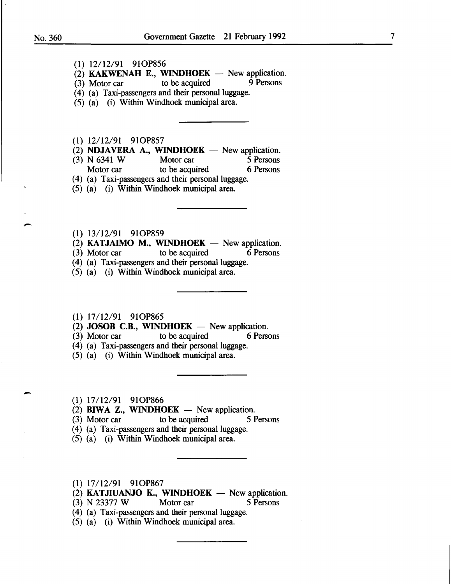-<br>-<br>-

-

(1) 12/12/91 910P856

(2) **KAKWENAH E., WINDHOEK**  $-$  New application.<br>(3) Motor car to be acquired 9 Persons

- $(3)$  Motor car
- (4) (a) Taxi-passengers and their personal luggage.
- (5) (a) (i) Within Windhoek municipal area.
- (1) 12/12/91 910P857
- (2) **NDJAVERA A., WINDHOEK** New application.<br>(3) N 6341 W Motor car 5 Persons
- (3) N 6341 W Motor car 5 Persons<br>Motor car to be acquired 6 Persons
- Motor car to be acquired

(4) (a) Taxi-passengers and their personal luggage.

- (5) (a) (i) Within Windhoek municipal area.
- (1) 13/12/91 910P859
- (2) **KATJAIMO M., WINDHOEK**  $-$  New application.<br>(3) Motor car to be acquired 6 Persons
- $(3)$  Motor car
- (4) (a) Taxi-passengers and their personal luggage.
- (5) (a) (i) Within Windhoek municipal area.
- **(1)** 17/12/91 910P865
- $(2)$  **JOSOB C.B., WINDHOEK** New application.
- (3) Motor car to be acquired 6 Persons
- (4) (a) Taxi-passengers and their personal luggage.
- (5) (a) (i) Within Windhoek municipal area.
- (1) 17/12/91 910P866
- (2) **BIWA Z., WINDHOEK**  $-$  New application.
- (3) Motor car to be acquired 5 Persons
- (4) (a) Taxi-passengers and their personal luggage.
- (5) (a) (i) Within Windhoek municipal area.
- **(1)** 17112/91 910P867
- (2) **KATJIUANJO K., WINDHOEK** New application.<br>(3) N 23377 W Motor car 5 Persons
- (3) N 23377 W Motor car 5 Persons
- $(4)$  (a) Taxi-passengers and their personal luggage.
- (5) (a) (i) Within Windhoek municipal area.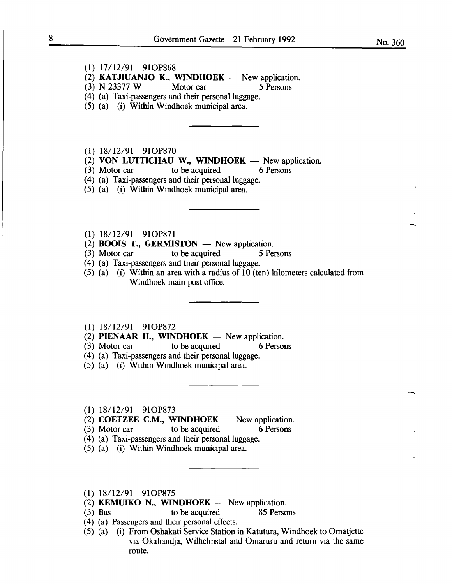- (1) 17/12/91 910P868
- (2) **KATJIUANJO K., WINDHOEK** New application.<br>(3) N 23377 W Motor car 5 Persons
- (3) N 23377 W Motor car 5 Persons
- (4) (a) Taxi-passengers and their personal luggage.
- (5) (a) (i) Within Windhoek municipal area.
- (1) 18/12/91 91OP870
- (2) **VON LUTTICHAU W., WINDHOEK** New application.<br>(3) Motor car to be acquired 6 Persons
- (3) Motor car to be acquired 6 Persons
- (4) (a) Taxi-passengers and their personal luggage.
- (5) (a) (i) Within Windhoek municipal area.
- (1)  $18/12/91$  91OP871
- $(2)$  **BOOIS T., GERMISTON** New application.
- (3) Motor car to be acquired 5 Persons
- (4) (a) Taxi-passengers and their personal luggage.
- $(5)$  (a) (i) Within an area with a radius of 10 (ten) kilometers calculated from Windhoek main post office.
- (1) 18/12/91 910P872
- $(2)$  **PIENAAR H., WINDHOEK** New application.
- (3) Motor car to be acquired 6 Persons
- ( 4) (a) Taxi-passengers and their personal luggage.
- (5) (a) (i) Within Windhoek municipal area.
- (1) 18/12/91 910P873
- $(2)$  **COETZEE C.M., WINDHOEK** New application.
- (3) Motor car to be acquired 6 Persons
- (4) (a) Taxi-passengers and their personal luggage.
- (5) (a) (i) Within Windhoek municipal area.
- (1) 18/12/91 910P875
- $(2)$  **KEMUIKO** N., **WINDHOEK** New application.
- (3) Bus to be acquired 85 Persons
- ( 4) (a) Passengers and their personal effects.
- (5) (a) (i) From Oshakati Service Station in Katutura, Windhoek to Omatjette via Okahandja, Wilhelmstal and Omaruru and return via the same route.

-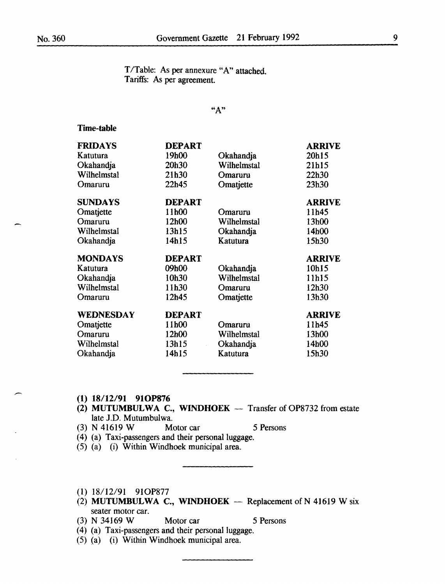T/Table: As per annexure "A" attached. Tariffs: As per agreement.

"A"

### Time-table

| <b>FRIDAYS</b> | <b>DEPART</b> |             | <b>ARRIVE</b> |
|----------------|---------------|-------------|---------------|
| Katutura       | 19h00         | Okahandja   | 20h15         |
| Okahandja      | 20h30         | Wilhelmstal | 21h15         |
| Wilhelmstal    | 21h30         | Omaruru     | 22h30         |
| Omaruru        | 22h45         | Omatjette   | 23h30         |
| <b>SUNDAYS</b> | <b>DEPART</b> |             | <b>ARRIVE</b> |
| Omatjette      | 11h00         | Omaruru     | 11h45         |
| Omaruru        | 12h00         | Wilhelmstal | 13h00         |
| Wilhelmstal    | 13h15         | Okahandja   | 14h00         |
| Okahandja      | 14h15         | Katutura    | 15h30         |
|                |               |             |               |
| <b>MONDAYS</b> | <b>DEPART</b> |             | <b>ARRIVE</b> |
| Katutura       | 09h00         | Okahandja   | 10h15         |
| Okahandja      | 10h30         | Wilhelmstal | 11h15         |
| Wilhelmstal    | 11h30         | Omaruru     | 12h30         |
| Omaruru        | 12h45         | Omatjette   | 13h30         |
| WEDNESDAY      | <b>DEPART</b> |             | <b>ARRIVE</b> |
| Omatjette      | 11h00         | Omaruru     | 11h45         |
| Omaruru        | 12h00         | Wilhelmstal | 13h00         |
| Wilhelmstal    | 13h15         | Okahandja   | 14h00         |

- (1) 18/12/91 910P876
- (2) MUTUMBULWA C., WINDHOEK  $-$  Transfer of OP8732 from estate late J.D. Mutumbulwa.
- (3) N 41619 W Motor car 5 Persons
- (4) (a) Taxi-passengers and their personal luggage.
- (5) (a) (i) Within Windhoek municipal area.
- (1) 18/12/91 910P877
- (2) MUTUMBULWA C., WINDHOEK  $-$  Replacement of N 41619 W six seater motor car.
- (3) N 34169 W Motor car 5 Persons
- (4) (a) Taxi-passengers and their personal luggage.
- (5) (a) (i) Within Windhoek municipal area.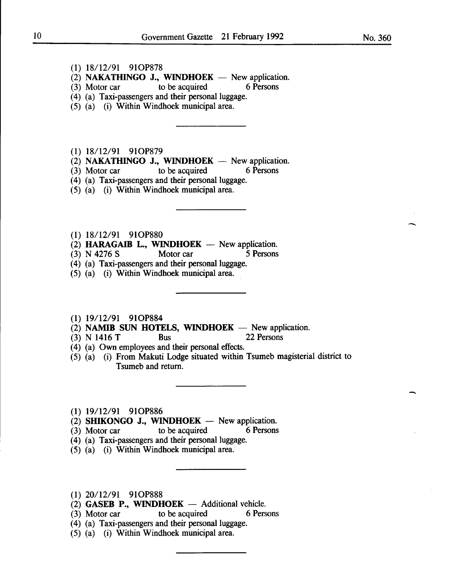- (1) 18/12/91 910P878
- $(2)$  NAKATHINGO J., WINDHOEK New application.
- (3) Motor car to be acquired 6 Persons
- (4) (a) Taxi-passengers and their personal luggage.
- (5) (a) (i) Within Windhoek municipal area.
- (1) 18/12/91 91OP879
- (2) **NAKATHINGO J., WINDHOEK** New application.<br>(3) Motor car to be acquired 6 Persons
- $(3)$  Motor car to be acquired
- (4) (a) Taxi-passengers and their personal luggage.
- (5) (a) (i) Within Windhoek municipal area.
- (1) 18/12/91 910P880
- $(2)$  HARAGAIB L., WINDHOEK New application.
- (3) N 4276 S Motor car 5 Persons
- (4) (a) Taxi-passengers and their personal luggage.
- (5) (a) (i) Within Windhoek municipal area.
- (1) 19/12/91 910P884
- (2) **NAMIB SUN HOTELS, WINDHOEK** New application.<br>(3) **N** 1416 T Bus 22 Persons
- $(3)$  N 1416 T Bus
- (4) (a) Own employees and their personal effects.
- (5) (a) (i) From Makuti Lodge situated within Tsumeb magisterial district to Tsumeb and return.
- (1) 19/12/91 910P886
- (2) SHIKONGO J., WINDHOEK New application.<br>(3) Motor car to be acquired 6 Persons
- $(3)$  Motor car to be acquired
- (4) (a) Taxi-passengers and their personal luggage.
- (5) (a) (i) Within Windhoek municipal area.
- (1) 20/12/91 910P888
- (2) GASEB P., WINDHOEK  $-$  Additional vehicle.<br>(3) Motor car to be acquired 6 Persons
- (3) Motor car to be acquired
- (4) (a) Taxi-passengers and their personal luggage.
- (5) (a) (i) Within Windhoek municipal area.

-

-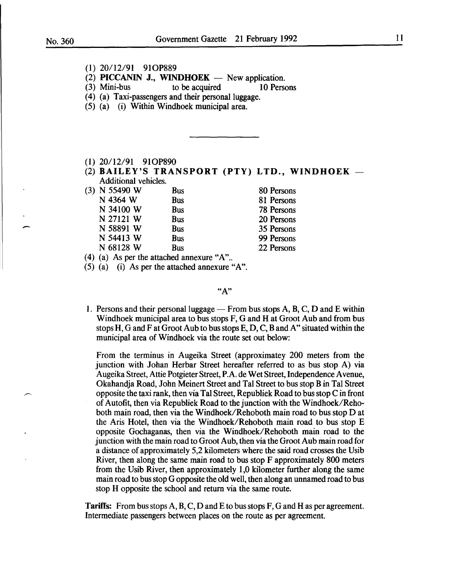.<br>-<br>-

- (1) 20/12/91 910P889
- (2) **PICCANIN J., WINDHOEK** New application.<br>(3) Mini-bus to be acquired 10 Person
- to be acquired 10 Persons
- (4) (a) Taxi-passengers and their personal luggage.
- (5) (a) (i) Within Windhoek municipal area.
- (1) 20/12/91 910P890
- (2) BAILEY'S TRANSPORT (PTY) LTD., WINDHOEK Additional vehicles.

| (3) N 55490 W | Bus        | 80 Persons |
|---------------|------------|------------|
| N 4364 W      | <b>Bus</b> | 81 Persons |
| N 34100 W     | <b>Bus</b> | 78 Persons |
| N 27121 W     | <b>Bus</b> | 20 Persons |
| N 58891 W     | <b>Bus</b> | 35 Persons |
| N 54413 W     | <b>Bus</b> | 99 Persons |
| N 68128 W     | <b>Bus</b> | 22 Persons |
|               |            |            |

(4) (a) As per the attached annexure "A"...

(5) (a) (i) As per the attached annexure "A".

"A"

1. Persons and their personal luggage — From bus stops  $A$ ,  $B$ ,  $C$ ,  $D$  and  $E$  within Windhoek municipal area to bus stops F, G and H at Groot Aub and from bus stops H, G and F at Groot Aub to bus stops E, D, C, B and A" situated within the municipal area of Windhoek via the route set out below:

From the terminus in Augeika Street (approximatey 200 meters from the junction with Johan Herbar Street hereafter referred to as bus stop A) via Augeika Street, Attie Potgieter Street, P.A. de Wet Street, Independence A venue, Okahandja Road, John Meinert Street and Tal Street to bus stop B in Tal Street opposite the taxi rank, then via Tal Street, Republiek Road to bus stop C in front of Autofit, then via Republiek Road to the junction with the Windhoek/Rehoboth main road, then via the Windhoek/Rehoboth main road to bus stop D at the Aris Hotel, then via the Windhoek/Rehoboth main road to bus stop E opposite Gochaganas, then via the Windhoek/Rehoboth main road to the junction with the main road to Groot Aub, then via the Groot Aub main road for a distance of approximately 5,2 kilometers where the said road crosses the Usib River, then along the same main road to bus stop F approximately 800 meters from the Usib River, then approximately 1,0 kilometer further along the same main road to bus stop G opposite the old well, then along an unnamed road to bus stop H opposite the school and return via the same route.

**Tariffs:** From bus stops  $A, B, C, D$  and E to bus stops  $F, G$  and H as per agreement. Intermediate passengers between places on the route as per agreement.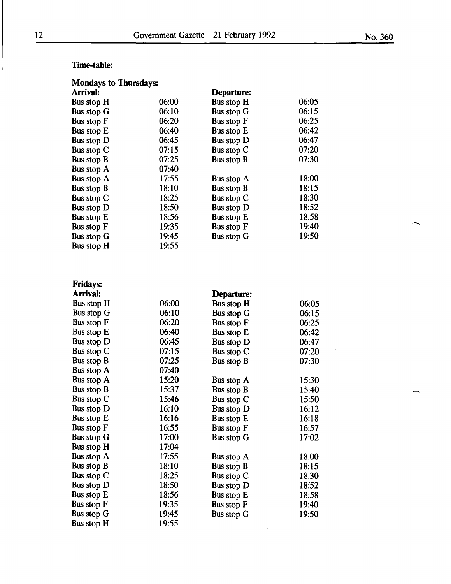## Time-table:

| <b>Mondays to Thursdays:</b> |       |                   |       |  |
|------------------------------|-------|-------------------|-------|--|
| Arrival:                     |       | Departure:        |       |  |
| Bus stop H                   | 06:00 | Bus stop H        | 06:05 |  |
| Bus stop G                   | 06:10 | Bus stop G        | 06:15 |  |
| <b>Bus stop F</b>            | 06:20 | Bus stop F        | 06:25 |  |
| Bus stop E                   | 06:40 | Bus stop E        | 06:42 |  |
| Bus stop D                   | 06:45 | Bus stop D        | 06:47 |  |
| Bus stop C                   | 07:15 | Bus stop C        | 07:20 |  |
| Bus stop B                   | 07:25 | Bus stop B        | 07:30 |  |
| Bus stop A                   | 07:40 |                   |       |  |
| Bus stop A                   | 17:55 | Bus stop A        | 18:00 |  |
| Bus stop B                   | 18:10 | Bus stop B        | 18:15 |  |
| Bus stop C                   | 18:25 | Bus stop C        | 18:30 |  |
| Bus stop D                   | 18:50 | <b>Bus stop D</b> | 18:52 |  |
| Bus stop E                   | 18:56 | Bus stop E        | 18:58 |  |
| Bus stop F                   | 19:35 | Bus stop F        | 19:40 |  |
| Bus stop G                   | 19:45 | Bus stop G        | 19:50 |  |
| Bus stop H                   | 19:55 |                   |       |  |

| <b>Fridays:</b> |       |                   |       |  |
|-----------------|-------|-------------------|-------|--|
| Arrival:        |       | Departure:        |       |  |
| Bus stop H      | 06:00 | Bus stop H        | 06:05 |  |
| Bus stop G      | 06:10 | Bus stop G        | 06:15 |  |
| Bus stop F      | 06:20 | Bus stop F        | 06:25 |  |
| Bus stop E      | 06:40 | Bus stop E        | 06:42 |  |
| Bus stop D      | 06:45 | Bus stop D        | 06:47 |  |
| Bus stop C      | 07:15 | Bus stop $C$      | 07:20 |  |
| Bus stop B      | 07:25 | Bus stop B        | 07:30 |  |
| Bus stop A      | 07:40 |                   |       |  |
| Bus stop A      | 15:20 | Bus stop A        | 15:30 |  |
| Bus stop B      | 15:37 | Bus stop B        | 15:40 |  |
| Bus stop C      | 15:46 | Bus stop C        | 15:50 |  |
| Bus stop D      | 16:10 | Bus stop D        | 16:12 |  |
| Bus stop E      | 16:16 | Bus stop E        | 16:18 |  |
| Bus stop F      | 16:55 | Bus stop F        | 16:57 |  |
| Bus stop G      | 17:00 | Bus stop G        | 17:02 |  |
| Bus stop H      | 17:04 |                   |       |  |
| Bus stop A      | 17:55 | Bus stop A        | 18:00 |  |
| Bus stop B      | 18:10 | Bus stop B        | 18:15 |  |
| Bus stop C      | 18:25 | Bus stop C        | 18:30 |  |
| Bus stop D      | 18:50 | Bus stop D        | 18:52 |  |
| Bus stop E      | 18:56 | Bus stop E        | 18:58 |  |
| Bus stop F      | 19:35 | <b>Bus stop F</b> | 19:40 |  |
| Bus stop G      | 19:45 | Bus stop G        | 19:50 |  |
| Bus stop H      | 19:55 |                   |       |  |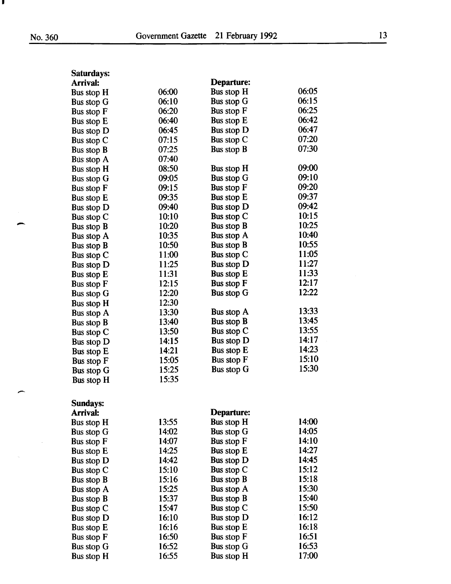I

 $\hat{\alpha}$ 

| Saturdays:        |       |                   |       |
|-------------------|-------|-------------------|-------|
| Arrival:          |       | <b>Departure:</b> |       |
| Bus stop H        | 06:00 | Bus stop H        | 06:05 |
| Bus stop G        | 06:10 | Bus stop G        | 06:15 |
| Bus stop F        | 06:20 | Bus stop F        | 06:25 |
| Bus stop E        | 06:40 | Bus stop E        | 06:42 |
| Bus stop D        | 06:45 | Bus stop D        | 06:47 |
| Bus stop C        | 07:15 | Bus stop C        | 07:20 |
| Bus stop B        | 07:25 | Bus stop B        | 07:30 |
| Bus stop A        | 07:40 |                   |       |
| Bus stop H        | 08:50 | Bus stop H        | 09:00 |
| Bus stop G        | 09:05 | Bus stop G        | 09:10 |
| Bus stop F        | 09:15 | Bus stop F        | 09:20 |
| Bus stop E        | 09:35 | Bus stop E        | 09:37 |
| Bus stop D        | 09:40 | Bus stop D        | 09:42 |
| Bus stop C        | 10:10 | Bus stop C        | 10:15 |
| Bus stop B        | 10:20 | Bus stop B        | 10:25 |
| Bus stop A        | 10:35 | Bus stop $A$      | 10:40 |
| Bus stop B        | 10:50 | Bus stop B        | 10:55 |
| Bus stop C        | 11:00 | Bus stop C        | 11:05 |
| Bus stop D        | 11:25 | Bus stop D        | 11:27 |
| Bus stop E        | 11:31 | Bus stop E        | 11:33 |
| Bus stop F        | 12:15 | Bus stop F        | 12:17 |
| Bus stop G        | 12:20 | Bus stop G        | 12:22 |
| Bus stop H        | 12:30 |                   |       |
| Bus stop A        | 13:30 | Bus stop A        | 13:33 |
|                   | 13:40 | Bus stop B        | 13:45 |
| Bus stop B        | 13:50 | Bus stop C        | 13:55 |
| Bus stop C        | 14:15 | Bus stop D        | 14:17 |
| Bus stop D        | 14:21 | <b>Bus stop E</b> | 14:23 |
| Bus stop E        | 15:05 | Bus stop F        | 15:10 |
| Bus stop F        | 15:25 | Bus stop G        | 15:30 |
| <b>Bus stop G</b> |       |                   |       |
| Bus stop H        | 15:35 |                   |       |
|                   |       |                   |       |
| <b>Sundays:</b>   |       |                   |       |
| Arrival:          |       | Departure:        |       |
| Bus stop H        | 13:55 | <b>Bus stop H</b> | 14:00 |
| Bus stop G        | 14:02 | <b>Bus stop G</b> | 14:05 |
| Bus stop F        | 14:07 | Bus stop F        | 14:10 |
| Bus stop E        | 14:25 | Bus stop E        | 14:27 |
| Bus stop D        | 14:42 | Bus stop D        | 14:45 |
| Bus stop C        | 15:10 | Bus stop C        | 15:12 |
| Bus stop B        | 15:16 | Bus stop B        | 15:18 |
| Bus stop A        | 15:25 | Bus stop A        | 15:30 |
| Bus stop B        | 15:37 | Bus stop B        | 15:40 |
| Bus stop C        | 15:47 | Bus stop C        | 15:50 |
| Bus stop D        | 16:10 | Bus stop D        | 16:12 |
| Bus stop E        | 16:16 | Bus stop E        | 16:18 |
| Bus stop F        | 16:50 | Bus stop F        | 16:51 |
|                   |       |                   |       |

Bus stop F 16:50 Bus stop F 16:51<br>Bus stop G 16:52 Bus stop G 16:53 Bus stop G 16:52 Bus stop G 16:53<br>Bus stop H 16:55 Bus stop H 17:00

Bus stop H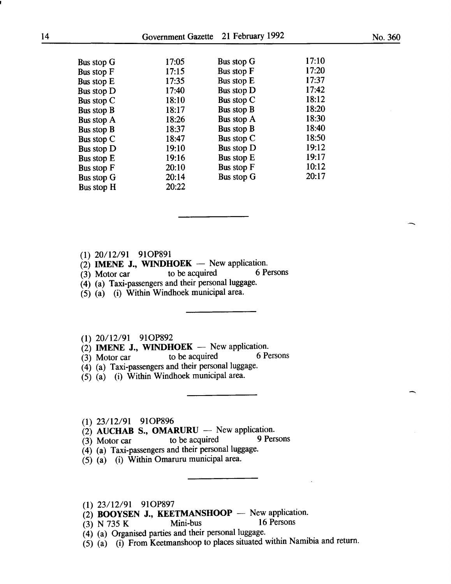| <b>Bus stop G</b><br>Bus stop F<br><b>Bus stop E</b><br>Bus stop D<br>Bus stop C<br><b>Bus stop B</b><br><b>Bus stop A</b><br>Bus stop B<br>Bus stop C | 17:05<br>17:15<br>17:35<br>17:40<br>18:10<br>18:17<br>18:26<br>18:37<br>18:47<br>19:10 | Bus stop G<br><b>Bus stop F</b><br>Bus stop E<br><b>Bus stop D</b><br>Bus stop C<br>Bus stop B<br>Bus stop A<br>Bus stop B<br>Bus stop C<br><b>Bus stop D</b> | 17:10<br>17:20<br>17:37<br>17:42<br>18:12<br>18:20<br>18:30<br>18:40<br>18:50<br>19:12 |
|--------------------------------------------------------------------------------------------------------------------------------------------------------|----------------------------------------------------------------------------------------|---------------------------------------------------------------------------------------------------------------------------------------------------------------|----------------------------------------------------------------------------------------|
| <b>Bus stop D</b>                                                                                                                                      | 19:16                                                                                  | Bus stop E                                                                                                                                                    | 19:17                                                                                  |
| Bus stop E<br>Bus stop F<br><b>Bus stop G</b><br><b>Bus stop H</b>                                                                                     | 20:10<br>20:14<br>20:22                                                                | <b>Bus stop F</b><br><b>Bus stop G</b>                                                                                                                        | 10:12<br>20:17                                                                         |

## (1) 20/12/91 910P891

- 
- (2) **IMENE J., WINDHOEK** New application.<br>(3) Motor car to be acquired 6 Persons  $(3)$  Motor car
- (4) (a) Taxi-passengers and their personal luggage.
- (5) (a) (i) Within Windhoek municipal area.

## (1) 20/12/91 910P892

- $\begin{array}{lll} \n\text{(2)} & \text{IMENE J., WINDHOEK} \n\end{array}$  New application.<br>
(3) Motor car to be acquired 6 Persons
- $(3)$  Motor car to be acquired
- (4) (a) Taxi-passengers and their personal luggage.
- (5) (a) (i) Within Windhoek municipal area.

### (1) 23/12/91 910P896

- 
- (2) AUCHAB S., OMARURU New application.<br>(3) Motor car to be acquired 9 Persons  $(3)$  Motor car
- (4) (a) Taxi-passengers and their personal luggage.
- (5) (a) (i) Within Omaruru municipal area.

(1) 23/12/91 910P897

- (2) **BOOYSEN J., KEETMANSHOOP** New application.<br>(3) N 735 K Mini-bus 16 Persons
- (3) N 735 K
- ( 4) (a) Organised parties and their personal luggage.
- $(5)$   $(a)$   $(i)$  From Keetmanshoop to places situated within Namibia and return.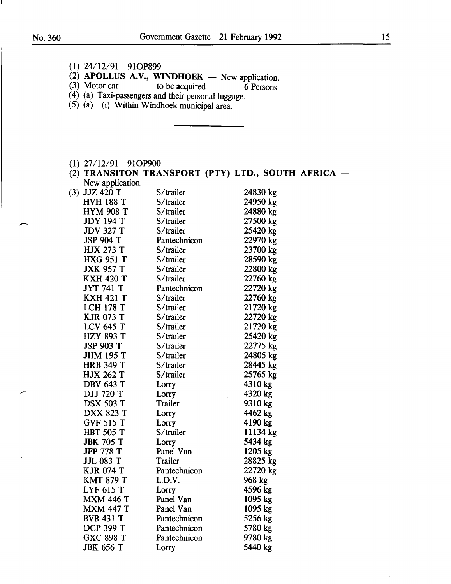L

(1) 24/12/91 910P899

 $\left( \begin{array}{c} 1 \\ -1 \end{array} \right)$ 

-

| $(3)$ Motor car                                     | (2) APOLLUS A.V., WINDHOEK - New application.<br>to be acquired | 6 Persons                                          |  |
|-----------------------------------------------------|-----------------------------------------------------------------|----------------------------------------------------|--|
| (4) (a) Taxi-passengers and their personal luggage. |                                                                 |                                                    |  |
| (5) (a) (i) Within Windhoek municipal area.         |                                                                 |                                                    |  |
|                                                     |                                                                 |                                                    |  |
|                                                     |                                                                 |                                                    |  |
|                                                     |                                                                 |                                                    |  |
|                                                     |                                                                 |                                                    |  |
|                                                     |                                                                 |                                                    |  |
| $(1)$ 27/12/91 91OP900                              |                                                                 |                                                    |  |
|                                                     |                                                                 | (2) TRANSITON TRANSPORT (PTY) LTD., SOUTH AFRICA - |  |
| New application.<br>$(3)$ JJZ 420 T                 | S/trailer                                                       | 24830 kg                                           |  |
| <b>HVH 188 T</b>                                    | S/trailer                                                       | 24950 kg                                           |  |
| <b>HYM 908 T</b>                                    | $S$ /trailer                                                    | 24880 kg                                           |  |
| <b>JDY 194 T</b>                                    | S/trailer                                                       | 27500 kg                                           |  |
| JDV 327 T                                           | S/trailer                                                       | 25420 kg                                           |  |
| JSP 904 T                                           | Pantechnicon                                                    | 22970 kg                                           |  |
| <b>HJX 273 T</b>                                    | S/trailer                                                       | 23700 kg                                           |  |
| <b>HXG 951 T</b>                                    | S/trailer                                                       | 28590 kg                                           |  |
| <b>JXK 957 T</b>                                    | $S$ /trailer                                                    | 22800 kg                                           |  |
| <b>KXH 420 T</b>                                    | S/trailer                                                       | 22760 kg                                           |  |
| <b>JYT 741 T</b>                                    | Pantechnicon                                                    | 22720 kg                                           |  |
| <b>KXH 421 T</b>                                    | $S$ /trailer                                                    | 22760 kg                                           |  |
| <b>LCH 178 T</b>                                    | $S$ /trailer                                                    | 21720 kg                                           |  |
| <b>KJR 073 T</b>                                    | S/trailer                                                       | 22720 kg                                           |  |
| <b>LCV 645 T</b>                                    | S/trailer                                                       | 21720 kg                                           |  |
| <b>HZY 893 T</b>                                    | S/trailer                                                       |                                                    |  |
|                                                     | S/trailer                                                       | 25420 kg                                           |  |
| <b>JSP 903 T</b>                                    |                                                                 | 22775 kg                                           |  |
| <b>JHM 195 T</b>                                    | S/trailer                                                       | 24805 kg                                           |  |
| <b>HRB 349 T</b>                                    | S/trailer                                                       | 28445 kg                                           |  |
| <b>HJX 262 T</b>                                    | S/trailer                                                       | 25765 kg                                           |  |
| <b>DBV 643 T</b>                                    | Lorry                                                           | 4310 kg                                            |  |
| DJJ 720 T                                           | Lorry                                                           | 4320 kg                                            |  |
| <b>DSX 503 T</b>                                    | Trailer                                                         | 9310 kg                                            |  |
| <b>DXX 823 T</b>                                    | Lorry                                                           | 4462 kg                                            |  |
| <b>GVF 515 T</b>                                    | Lorry                                                           | 4190 kg                                            |  |
| <b>HBT 505 T</b>                                    | S/trailer                                                       | 11134 kg                                           |  |
| <b>JBK 705 T</b>                                    | Lorry                                                           | 5434 kg                                            |  |
| <b>JFP 778 T</b>                                    | Panel Van                                                       | 1205 kg                                            |  |
| JJL 083 T                                           | Trailer                                                         | 28825 kg                                           |  |
| <b>KJR 074 T</b>                                    | Pantechnicon                                                    | 22720 kg                                           |  |
| <b>KMT 879 T</b>                                    | L.D.V.                                                          | 968 kg                                             |  |
| <b>LYF 615 T</b>                                    | Lorry                                                           | 4596 kg                                            |  |
| <b>MXM 446 T</b>                                    | Panel Van                                                       | 1095 kg                                            |  |
| <b>MXM 447 T</b>                                    | Panel Van                                                       | 1095 kg                                            |  |
| <b>BVB 431 T</b>                                    | Pantechnicon                                                    | 5256 kg                                            |  |
| <b>DCP 399 T</b>                                    | Pantechnicon                                                    | 5780 kg                                            |  |
| <b>GXC 898 T</b>                                    | Pantechnicon                                                    | 9780 kg                                            |  |
| <b>JBK 656 T</b>                                    | Lorry                                                           | 5440 kg                                            |  |

 $\hat{\boldsymbol{\beta}}$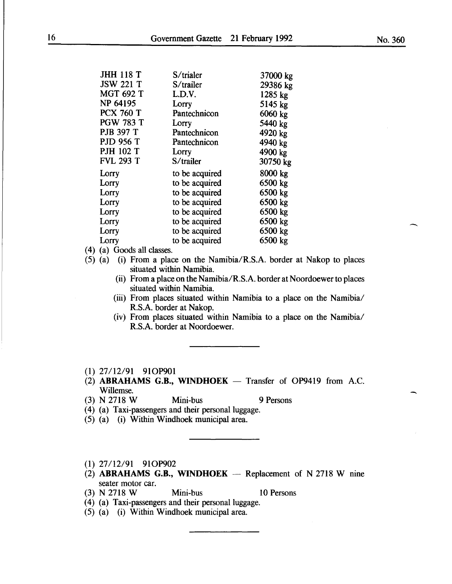| <b>JHH 118 T</b> | S/trialer      | 37000 kg |
|------------------|----------------|----------|
| <b>JSW 221 T</b> | S/trailer      | 29386 kg |
| <b>MGT 692 T</b> | L.D.V.         | 1285 kg  |
| NP 64195         | Lorry          | 5145 kg  |
| <b>PCX 760 T</b> | Pantechnicon   | 6060 kg  |
| <b>PGW 783 T</b> | Lorry          | 5440 kg  |
| <b>PJB 397 T</b> | Pantechnicon   | 4920 kg  |
| <b>PJD 956 T</b> | Pantechnicon   | 4940 kg  |
| <b>PJH 102 T</b> | Lorry          | 4900 kg  |
| <b>FVL 293 T</b> | S/trailer      | 30750 kg |
|                  |                |          |
| Lorry            | to be acquired | 8000 kg  |
| Lorry            | to be acquired | 6500 kg  |
| Lorry            | to be acquired | 6500 kg  |
| Lorry            | to be acquired | 6500 kg  |
| Lorry            | to be acquired | 6500 kg  |
| Lorry            | to be acquired | 6500 kg  |
| Lorry            | to be acquired | 6500 kg  |
| Lorry            | to be acquired | 6500 kg  |

(4) (a) Goods all classes.

- (5) (a) (i) From a place on the Namibia/R.S.A. border at Nakop to places situated within Namibia.
	- (ii) From a place on the Namibia/R.S.A. border at Noordoewer to places situated within Namibia.
	- (iii) From places situated within Namibia to a place on the Namibia/ R.S.A. border at Nakop.
	- (iv) From places situated within Namibia to a place on the Namibia/ R.S.A. border at Noordoewer.
- (1) 27/12/91 910P901
- $(2)$  ABRAHAMS G.B., WINDHOEK Transfer of OP9419 from A.C. Willemse.
- (3) N 2718 W Mini-bus 9 Persons
- (4) (a) Taxi-passengers and their personal luggage.
- (5) (a) (i) Within Windhoek municipal area.
- (1) 27/12/91 910P902
- (2) ABRAHAMS G.B., WINDHOEK  $-$  Replacement of N 2718 W nine seater motor car.

(3) N 2718 W Mini-bus 10 Persons

- (4) (a) Taxi-passengers and their personal luggage.
- (5) (a) (i) Within Windhoek municipal area.

 $\overline{\phantom{a}}$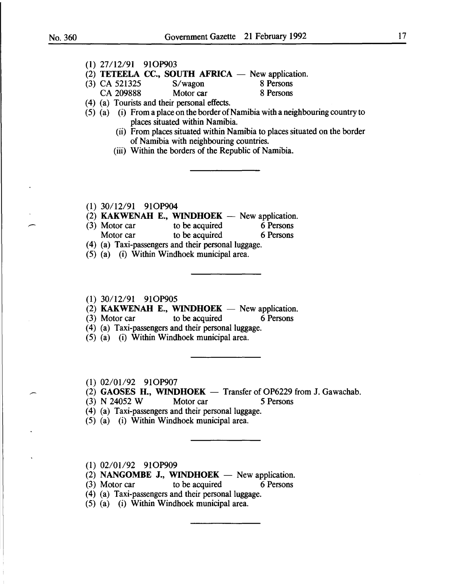|                        | (1) 27/12/91 91OP903<br>(2) TETEELA CC., SOUTH AFRICA $-$ New application. |                                                                                    |
|------------------------|----------------------------------------------------------------------------|------------------------------------------------------------------------------------|
|                        | (3) CA 521325 S/wagon 8 Persons<br>CA 209888 Motor car 8 Persons           |                                                                                    |
|                        |                                                                            |                                                                                    |
|                        | (4) (a) Tourists and their personal effects.                               |                                                                                    |
|                        | places situated within Namibia.                                            | $(5)$ (a) (i) From a place on the border of Namibia with a neighbouring country to |
|                        | of Namibia with neighbouring countries.                                    | (ii) From places situated within Namibia to places situated on the border          |
|                        | (iii) Within the borders of the Republic of Namibia.                       |                                                                                    |
|                        |                                                                            |                                                                                    |
| $(1)$ 30/12/91 91OP904 |                                                                            |                                                                                    |
|                        | (2) KAKWENAH E., WINDHOEK - New application.                               |                                                                                    |
|                        | (3) Motor car to be acquired 6 Persons                                     |                                                                                    |
| Motor car              | to be acquired 6 Persons                                                   |                                                                                    |
|                        | (4) (a) Taxi-passengers and their personal luggage.                        |                                                                                    |
|                        | (5) (a) (i) Within Windhoek municipal area.                                |                                                                                    |

(2) KAKWENAH E., WINDHOEK  $-$  New application.

(3) Motor car to be acquired 6 Persons

(4) (a) Taxi-passengers and their personal luggage.

(5) (a) (i) Within Windhoek municipal area.

(1) 02/01/92 91OP907

 $(2)$  GAOSES H., WINDHOEK - Transfer of OP6229 from J. Gawachab.

(3) N 24052 W Motor car 5 Persons

(4) (a) Taxi-passengers and their personal luggage.

(5) (a) (i) Within Windhoek municipal area.

(1) 02/01/92 91OP909

 $(2)$  NANGOMBE J., WINDHOEK - New application.

(3) Motor car to be acquired 6 Persons

(4) (a) Taxi-passengers and their personal luggage.

(5) (a) (i) Within Windhoek municipal area.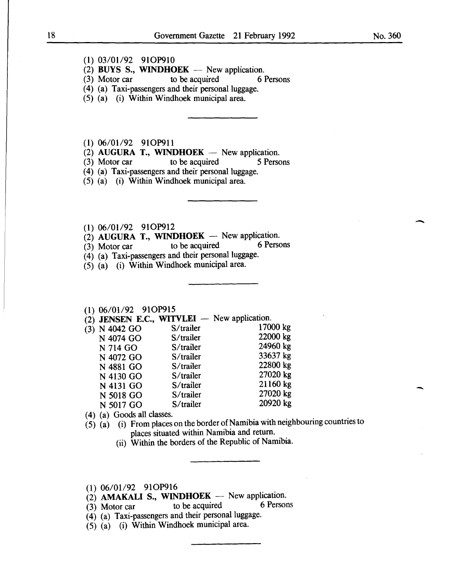- (1) 03/01/92 91OP910
- (2) BUYS S., WINDHOEK New application.<br>(3) Motor car to be acquired  $\begin{bmatrix} 6 \end{bmatrix}$
- to be acquired 6 Persons
- (4) (a) Taxi-passengers and their personal luggage.
- (5) (a) (i) Within Windhoek municipal area.

(1) 06/01/92 910P911

(2) AUGURA T., WINDHOEK - New application.<br>(3) Motor car to be acquired 5 Persons

to be acquired

(4) (a) Taxi-passengers and their personal luggage.

(5) (a) (i) Within Windhoek municipal area.

(1)  $06/01/92$  91OP912<br>
(2) **AUGURA T., WINDHOEK** - New application.<br>
(3) Motor car to be acquired 6 Persons

 $(3)$  Motor car to be acquired

(4) (a) Taxi-passengers and their personal luggage.

(5) (a) (i) Within Windhoek municipal area.

## (1) 06/01/92 910P915

 $(2)$  JENSEN E.C., WITVLEI - New application.

| $(3)$ N 4042 GO | S/trailer    | 17000 kg |  |
|-----------------|--------------|----------|--|
| N 4074 GO       | S/trailer    | 22000 kg |  |
| N 714 GO        | $S$ /trailer | 24960 kg |  |
| N 4072 GO       | $S$ /trailer | 33637 kg |  |
| N 4881 GO       | S/trailer    | 22800 kg |  |
| N 4130 GO       | S/trailer    | 27020 kg |  |
| N 4131 GO       | $S$ /trailer | 21160 kg |  |
| N 5018 GO       | $S$ /trailer | 27020 kg |  |
| N 5017 GO       | S/trailer    | 20920 kg |  |
|                 |              |          |  |

( 4) (a) Goods all classes.

- $(5)$   $(a)$  (i) From places on the border of Namibia with neighbouring countries to places situated within Namibia and return.
	- (ii) Within the borders of the Republic of Namibia.

 $(1)$  06/01/92 91OP916

- $\overrightarrow{2}$  **AMAKALI S., WINDHOEK** New application.<br>(3) Motor car to be acquired 6 Persons
- (3) Motor car to be acquired 6 Persons
- (4) (a) Taxi-passengers and their personal luggage.
- (5) (a) (i) Within Windhoek municipal area.